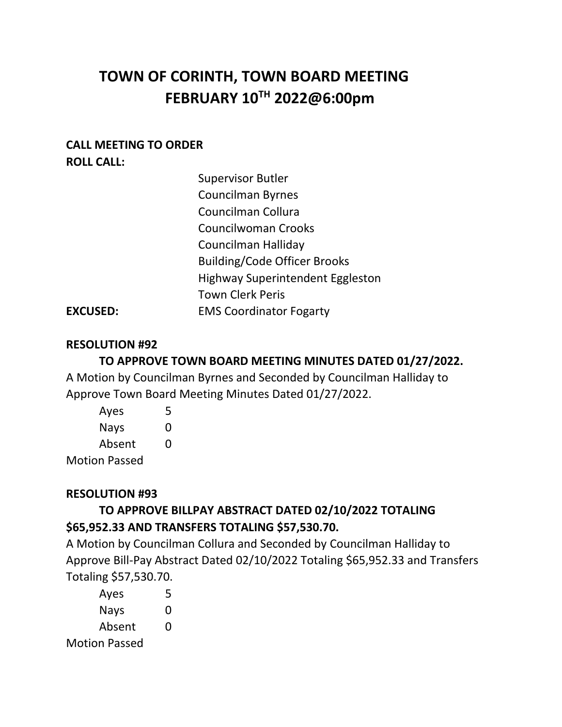# **TOWN OF CORINTH, TOWN BOARD MEETING FEBRUARY 10TH 2022@6:00pm**

### **CALL MEETING TO ORDER ROLL CALL:**

| <b>Supervisor Butler</b>                |
|-----------------------------------------|
| Councilman Byrnes                       |
| Councilman Collura                      |
| <b>Councilwoman Crooks</b>              |
| Councilman Halliday                     |
| <b>Building/Code Officer Brooks</b>     |
| <b>Highway Superintendent Eggleston</b> |
| <b>Town Clerk Peris</b>                 |
| <b>EMS Coordinator Fogarty</b>          |

### **EXCUSED:**

### **RESOLUTION #92**

### **TO APPROVE TOWN BOARD MEETING MINUTES DATED 01/27/2022.**

A Motion by Councilman Byrnes and Seconded by Councilman Halliday to Approve Town Board Meeting Minutes Dated 01/27/2022.

| Ayes                                     | 5 |
|------------------------------------------|---|
| Nays                                     | O |
| Absent                                   | O |
| <b>Docco</b><br>$\overline{\phantom{a}}$ |   |

Motion Passed

### **RESOLUTION #93**

# **TO APPROVE BILLPAY ABSTRACT DATED 02/10/2022 TOTALING \$65,952.33 AND TRANSFERS TOTALING \$57,530.70.**

A Motion by Councilman Collura and Seconded by Councilman Halliday to Approve Bill-Pay Abstract Dated 02/10/2022 Totaling \$65,952.33 and Transfers Totaling \$57,530.70.

Ayes 5 Nays 0 Absent 0 Motion Passed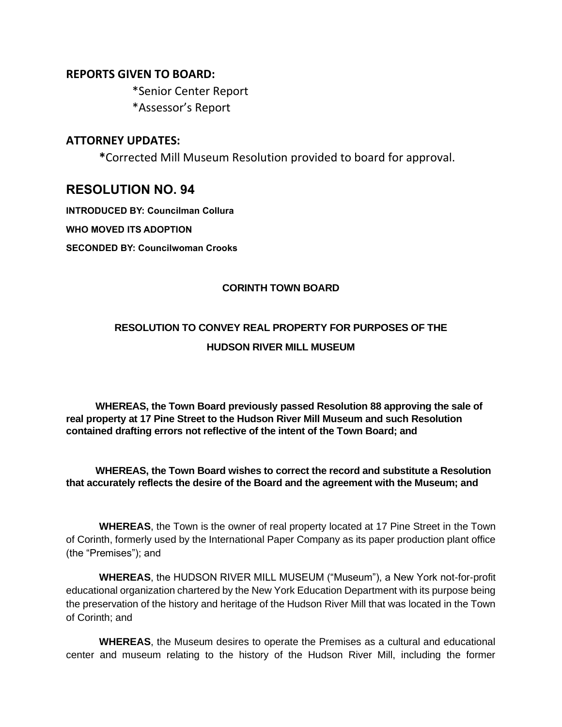#### **REPORTS GIVEN TO BOARD:**

\*Senior Center Report \*Assessor's Report

#### **ATTORNEY UPDATES:**

**\***Corrected Mill Museum Resolution provided to board for approval.

### **RESOLUTION NO. 94**

**INTRODUCED BY: Councilman Collura**

**WHO MOVED ITS ADOPTION**

**SECONDED BY: Councilwoman Crooks**

#### **CORINTH TOWN BOARD**

# **RESOLUTION TO CONVEY REAL PROPERTY FOR PURPOSES OF THE HUDSON RIVER MILL MUSEUM**

 **WHEREAS, the Town Board previously passed Resolution 88 approving the sale of real property at 17 Pine Street to the Hudson River Mill Museum and such Resolution contained drafting errors not reflective of the intent of the Town Board; and** 

#### **WHEREAS, the Town Board wishes to correct the record and substitute a Resolution that accurately reflects the desire of the Board and the agreement with the Museum; and**

**WHEREAS**, the Town is the owner of real property located at 17 Pine Street in the Town of Corinth, formerly used by the International Paper Company as its paper production plant office (the "Premises"); and

**WHEREAS**, the HUDSON RIVER MILL MUSEUM ("Museum"), a New York not-for-profit educational organization chartered by the New York Education Department with its purpose being the preservation of the history and heritage of the Hudson River Mill that was located in the Town of Corinth; and

**WHEREAS**, the Museum desires to operate the Premises as a cultural and educational center and museum relating to the history of the Hudson River Mill, including the former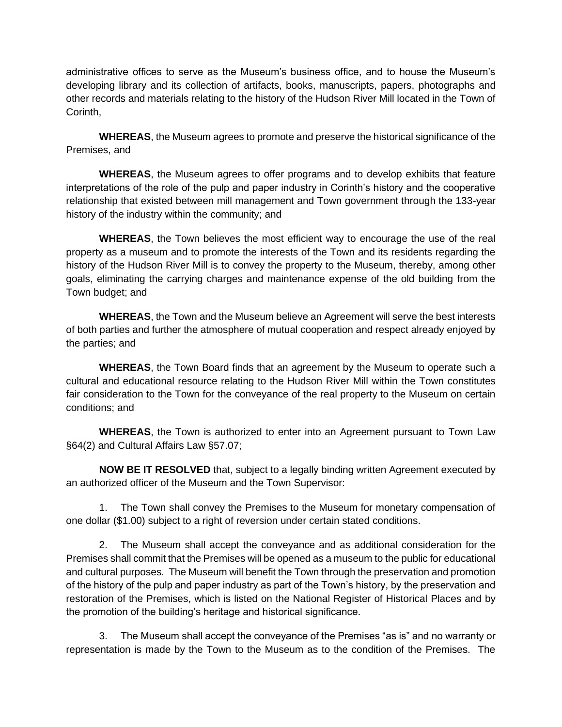administrative offices to serve as the Museum's business office, and to house the Museum's developing library and its collection of artifacts, books, manuscripts, papers, photographs and other records and materials relating to the history of the Hudson River Mill located in the Town of Corinth,

**WHEREAS**, the Museum agrees to promote and preserve the historical significance of the Premises, and

**WHEREAS**, the Museum agrees to offer programs and to develop exhibits that feature interpretations of the role of the pulp and paper industry in Corinth's history and the cooperative relationship that existed between mill management and Town government through the 133-year history of the industry within the community; and

**WHEREAS**, the Town believes the most efficient way to encourage the use of the real property as a museum and to promote the interests of the Town and its residents regarding the history of the Hudson River Mill is to convey the property to the Museum, thereby, among other goals, eliminating the carrying charges and maintenance expense of the old building from the Town budget; and

**WHEREAS**, the Town and the Museum believe an Agreement will serve the best interests of both parties and further the atmosphere of mutual cooperation and respect already enjoyed by the parties; and

**WHEREAS**, the Town Board finds that an agreement by the Museum to operate such a cultural and educational resource relating to the Hudson River Mill within the Town constitutes fair consideration to the Town for the conveyance of the real property to the Museum on certain conditions; and

**WHEREAS**, the Town is authorized to enter into an Agreement pursuant to Town Law §64(2) and Cultural Affairs Law §57.07;

**NOW BE IT RESOLVED** that, subject to a legally binding written Agreement executed by an authorized officer of the Museum and the Town Supervisor:

1. The Town shall convey the Premises to the Museum for monetary compensation of one dollar (\$1.00) subject to a right of reversion under certain stated conditions.

2. The Museum shall accept the conveyance and as additional consideration for the Premises shall commit that the Premises will be opened as a museum to the public for educational and cultural purposes. The Museum will benefit the Town through the preservation and promotion of the history of the pulp and paper industry as part of the Town's history, by the preservation and restoration of the Premises, which is listed on the National Register of Historical Places and by the promotion of the building's heritage and historical significance.

3. The Museum shall accept the conveyance of the Premises "as is" and no warranty or representation is made by the Town to the Museum as to the condition of the Premises. The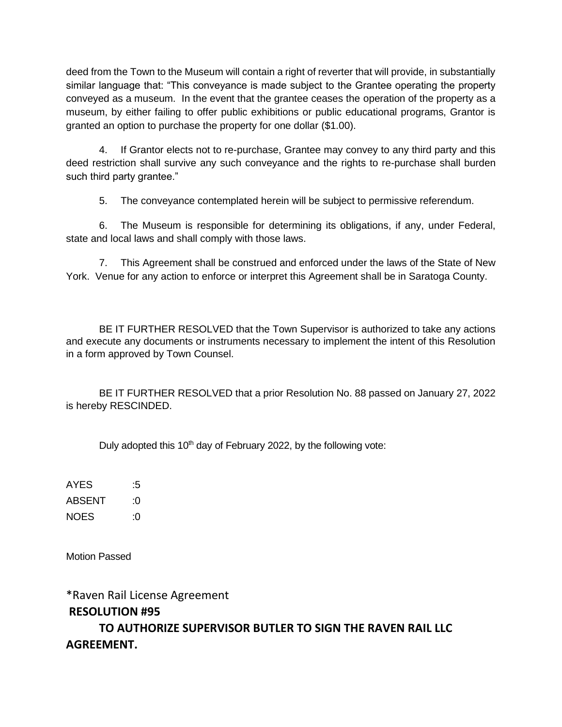deed from the Town to the Museum will contain a right of reverter that will provide, in substantially similar language that: "This conveyance is made subject to the Grantee operating the property conveyed as a museum. In the event that the grantee ceases the operation of the property as a museum, by either failing to offer public exhibitions or public educational programs, Grantor is granted an option to purchase the property for one dollar (\$1.00).

4. If Grantor elects not to re-purchase, Grantee may convey to any third party and this deed restriction shall survive any such conveyance and the rights to re-purchase shall burden such third party grantee."

5. The conveyance contemplated herein will be subject to permissive referendum.

6. The Museum is responsible for determining its obligations, if any, under Federal, state and local laws and shall comply with those laws.

7. This Agreement shall be construed and enforced under the laws of the State of New York. Venue for any action to enforce or interpret this Agreement shall be in Saratoga County.

BE IT FURTHER RESOLVED that the Town Supervisor is authorized to take any actions and execute any documents or instruments necessary to implement the intent of this Resolution in a form approved by Town Counsel.

BE IT FURTHER RESOLVED that a prior Resolution No. 88 passed on January 27, 2022 is hereby RESCINDED.

Duly adopted this  $10<sup>th</sup>$  day of February 2022, by the following vote:

AYES :5 ABSENT :0 NOES :0

Motion Passed

\*Raven Rail License Agreement **RESOLUTION #95**

**TO AUTHORIZE SUPERVISOR BUTLER TO SIGN THE RAVEN RAIL LLC AGREEMENT.**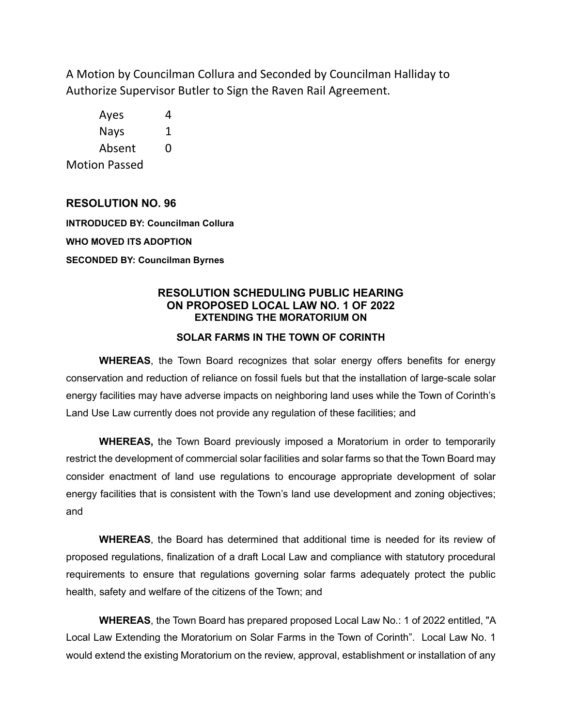A Motion by Councilman Collura and Seconded by Councilman Halliday to Authorize Supervisor Butler to Sign the Raven Rail Agreement.

Ayes 4 Nays 1 Absent 0 Motion Passed

#### **RESOLUTION NO. 96**

**INTRODUCED BY: Councilman Collura WHO MOVED ITS ADOPTION SECONDED BY: Councilman Byrnes**

#### **RESOLUTION SCHEDULING PUBLIC HEARING ON PROPOSED LOCAL LAW NO. 1 OF 2022 EXTENDING THE MORATORIUM ON**

#### **SOLAR FARMS IN THE TOWN OF CORINTH**

**WHEREAS**, the Town Board recognizes that solar energy offers benefits for energy conservation and reduction of reliance on fossil fuels but that the installation of large-scale solar energy facilities may have adverse impacts on neighboring land uses while the Town of Corinth's Land Use Law currently does not provide any regulation of these facilities; and

**WHEREAS,** the Town Board previously imposed a Moratorium in order to temporarily restrict the development of commercial solar facilities and solar farms so that the Town Board may consider enactment of land use regulations to encourage appropriate development of solar energy facilities that is consistent with the Town's land use development and zoning objectives; and

**WHEREAS**, the Board has determined that additional time is needed for its review of proposed regulations, finalization of a draft Local Law and compliance with statutory procedural requirements to ensure that regulations governing solar farms adequately protect the public health, safety and welfare of the citizens of the Town; and

**WHEREAS**, the Town Board has prepared proposed Local Law No.: 1 of 2022 entitled, "A Local Law Extending the Moratorium on Solar Farms in the Town of Corinth". Local Law No. 1 would extend the existing Moratorium on the review, approval, establishment or installation of any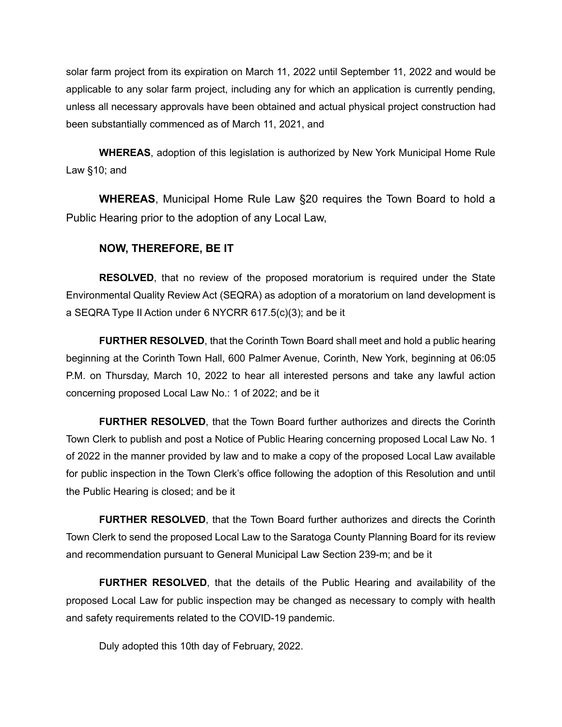solar farm project from its expiration on March 11, 2022 until September 11, 2022 and would be applicable to any solar farm project, including any for which an application is currently pending, unless all necessary approvals have been obtained and actual physical project construction had been substantially commenced as of March 11, 2021, and

**WHEREAS**, adoption of this legislation is authorized by New York Municipal Home Rule Law §10; and

**WHEREAS**, Municipal Home Rule Law §20 requires the Town Board to hold a Public Hearing prior to the adoption of any Local Law,

#### **NOW, THEREFORE, BE IT**

**RESOLVED**, that no review of the proposed moratorium is required under the State Environmental Quality Review Act (SEQRA) as adoption of a moratorium on land development is a SEQRA Type II Action under 6 NYCRR 617.5(c)(3); and be it

**FURTHER RESOLVED**, that the Corinth Town Board shall meet and hold a public hearing beginning at the Corinth Town Hall, 600 Palmer Avenue, Corinth, New York, beginning at 06:05 P.M. on Thursday, March 10, 2022 to hear all interested persons and take any lawful action concerning proposed Local Law No.: 1 of 2022; and be it

**FURTHER RESOLVED**, that the Town Board further authorizes and directs the Corinth Town Clerk to publish and post a Notice of Public Hearing concerning proposed Local Law No. 1 of 2022 in the manner provided by law and to make a copy of the proposed Local Law available for public inspection in the Town Clerk's office following the adoption of this Resolution and until the Public Hearing is closed; and be it

**FURTHER RESOLVED**, that the Town Board further authorizes and directs the Corinth Town Clerk to send the proposed Local Law to the Saratoga County Planning Board for its review and recommendation pursuant to General Municipal Law Section 239-m; and be it

**FURTHER RESOLVED**, that the details of the Public Hearing and availability of the proposed Local Law for public inspection may be changed as necessary to comply with health and safety requirements related to the COVID-19 pandemic.

Duly adopted this 10th day of February, 2022.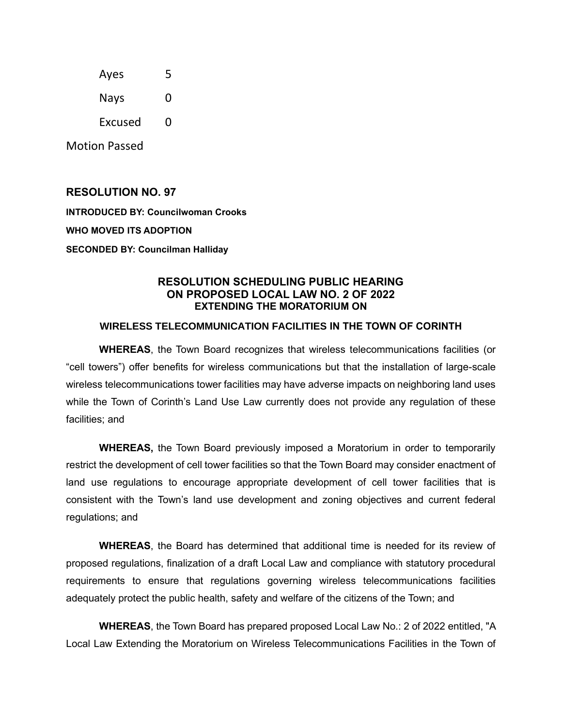| Ayes        | 5 |
|-------------|---|
| <b>Nays</b> | 0 |

Excused 0

Motion Passed

#### **RESOLUTION NO. 97**

**INTRODUCED BY: Councilwoman Crooks**

**WHO MOVED ITS ADOPTION**

**SECONDED BY: Councilman Halliday**

#### **RESOLUTION SCHEDULING PUBLIC HEARING ON PROPOSED LOCAL LAW NO. 2 OF 2022 EXTENDING THE MORATORIUM ON**

#### **WIRELESS TELECOMMUNICATION FACILITIES IN THE TOWN OF CORINTH**

**WHEREAS**, the Town Board recognizes that wireless telecommunications facilities (or "cell towers") offer benefits for wireless communications but that the installation of large-scale wireless telecommunications tower facilities may have adverse impacts on neighboring land uses while the Town of Corinth's Land Use Law currently does not provide any regulation of these facilities; and

**WHEREAS,** the Town Board previously imposed a Moratorium in order to temporarily restrict the development of cell tower facilities so that the Town Board may consider enactment of land use regulations to encourage appropriate development of cell tower facilities that is consistent with the Town's land use development and zoning objectives and current federal regulations; and

**WHEREAS**, the Board has determined that additional time is needed for its review of proposed regulations, finalization of a draft Local Law and compliance with statutory procedural requirements to ensure that regulations governing wireless telecommunications facilities adequately protect the public health, safety and welfare of the citizens of the Town; and

**WHEREAS**, the Town Board has prepared proposed Local Law No.: 2 of 2022 entitled, "A Local Law Extending the Moratorium on Wireless Telecommunications Facilities in the Town of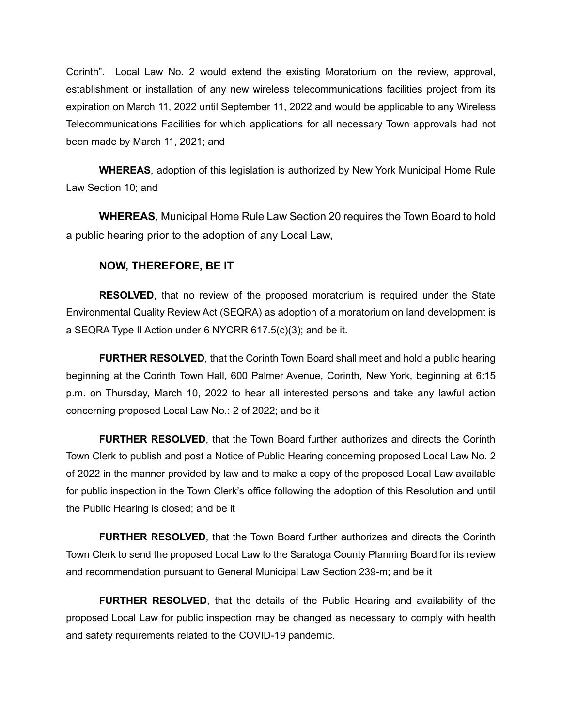Corinth". Local Law No. 2 would extend the existing Moratorium on the review, approval, establishment or installation of any new wireless telecommunications facilities project from its expiration on March 11, 2022 until September 11, 2022 and would be applicable to any Wireless Telecommunications Facilities for which applications for all necessary Town approvals had not been made by March 11, 2021; and

**WHEREAS**, adoption of this legislation is authorized by New York Municipal Home Rule Law Section 10; and

**WHEREAS**, Municipal Home Rule Law Section 20 requires the Town Board to hold a public hearing prior to the adoption of any Local Law,

#### **NOW, THEREFORE, BE IT**

**RESOLVED**, that no review of the proposed moratorium is required under the State Environmental Quality Review Act (SEQRA) as adoption of a moratorium on land development is a SEQRA Type II Action under 6 NYCRR 617.5(c)(3); and be it.

**FURTHER RESOLVED**, that the Corinth Town Board shall meet and hold a public hearing beginning at the Corinth Town Hall, 600 Palmer Avenue, Corinth, New York, beginning at 6:15 p.m. on Thursday, March 10, 2022 to hear all interested persons and take any lawful action concerning proposed Local Law No.: 2 of 2022; and be it

**FURTHER RESOLVED**, that the Town Board further authorizes and directs the Corinth Town Clerk to publish and post a Notice of Public Hearing concerning proposed Local Law No. 2 of 2022 in the manner provided by law and to make a copy of the proposed Local Law available for public inspection in the Town Clerk's office following the adoption of this Resolution and until the Public Hearing is closed; and be it

**FURTHER RESOLVED**, that the Town Board further authorizes and directs the Corinth Town Clerk to send the proposed Local Law to the Saratoga County Planning Board for its review and recommendation pursuant to General Municipal Law Section 239-m; and be it

**FURTHER RESOLVED**, that the details of the Public Hearing and availability of the proposed Local Law for public inspection may be changed as necessary to comply with health and safety requirements related to the COVID-19 pandemic.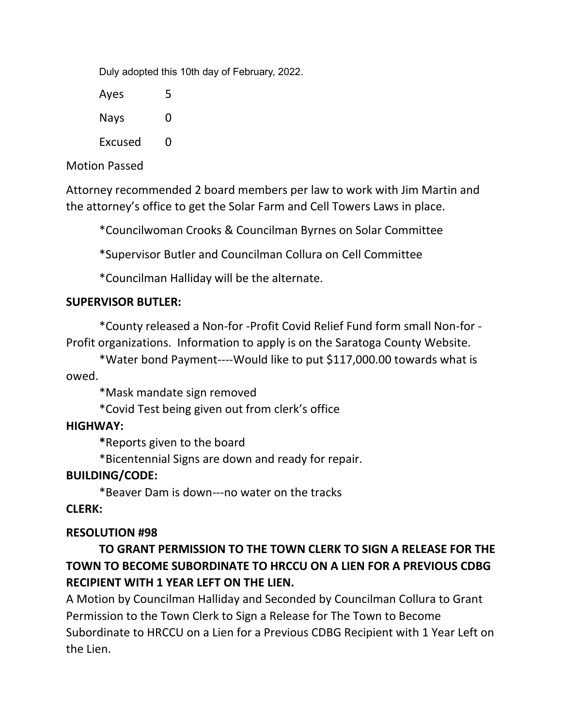Duly adopted this 10th day of February, 2022.

Ayes 5 Nays 0 Excused 0

# Motion Passed

Attorney recommended 2 board members per law to work with Jim Martin and the attorney's office to get the Solar Farm and Cell Towers Laws in place.

\*Councilwoman Crooks & Councilman Byrnes on Solar Committee

\*Supervisor Butler and Councilman Collura on Cell Committee

\*Councilman Halliday will be the alternate.

### **SUPERVISOR BUTLER:**

\*County released a Non-for -Profit Covid Relief Fund form small Non-for - Profit organizations. Information to apply is on the Saratoga County Website.

\*Water bond Payment----Would like to put \$117,000.00 towards what is owed.

\*Mask mandate sign removed

\*Covid Test being given out from clerk's office

### **HIGHWAY:**

**\***Reports given to the board

\*Bicentennial Signs are down and ready for repair.

# **BUILDING/CODE:**

\*Beaver Dam is down---no water on the tracks

# **CLERK:**

# **RESOLUTION #98**

**TO GRANT PERMISSION TO THE TOWN CLERK TO SIGN A RELEASE FOR THE TOWN TO BECOME SUBORDINATE TO HRCCU ON A LIEN FOR A PREVIOUS CDBG RECIPIENT WITH 1 YEAR LEFT ON THE LIEN.**

A Motion by Councilman Halliday and Seconded by Councilman Collura to Grant Permission to the Town Clerk to Sign a Release for The Town to Become Subordinate to HRCCU on a Lien for a Previous CDBG Recipient with 1 Year Left on the Lien.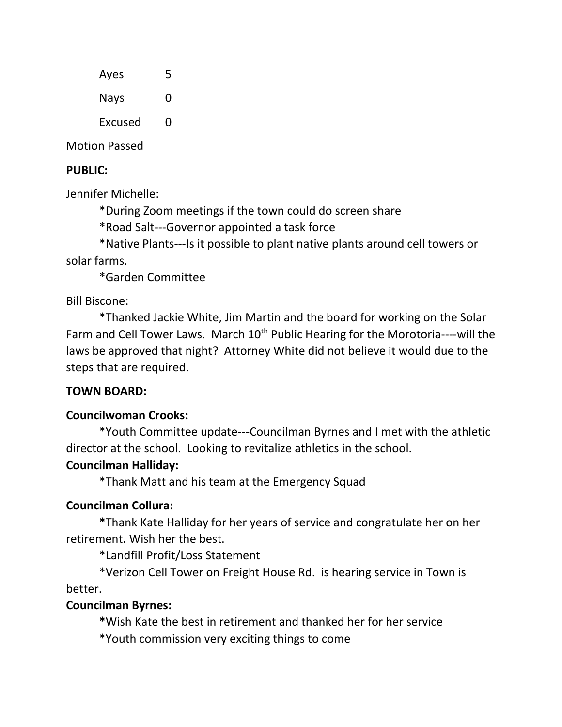| Ayes    | 5 |
|---------|---|
| Nays    | O |
| Excused | O |

Motion Passed

### **PUBLIC:**

Jennifer Michelle:

\*During Zoom meetings if the town could do screen share

\*Road Salt---Governor appointed a task force

\*Native Plants---Is it possible to plant native plants around cell towers or solar farms.

\*Garden Committee

Bill Biscone:

\*Thanked Jackie White, Jim Martin and the board for working on the Solar Farm and Cell Tower Laws. March 10<sup>th</sup> Public Hearing for the Morotoria----will the laws be approved that night? Attorney White did not believe it would due to the steps that are required.

# **TOWN BOARD:**

# **Councilwoman Crooks:**

\*Youth Committee update---Councilman Byrnes and I met with the athletic director at the school. Looking to revitalize athletics in the school.

# **Councilman Halliday:**

\*Thank Matt and his team at the Emergency Squad

# **Councilman Collura:**

**\***Thank Kate Halliday for her years of service and congratulate her on her retirement**.** Wish her the best.

\*Landfill Profit/Loss Statement

\*Verizon Cell Tower on Freight House Rd. is hearing service in Town is better.

### **Councilman Byrnes:**

**\***Wish Kate the best in retirement and thanked her for her service

\*Youth commission very exciting things to come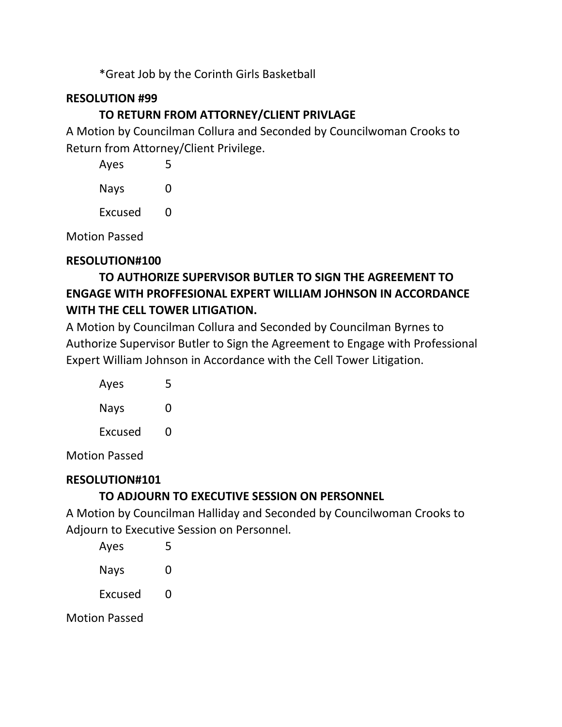\*Great Job by the Corinth Girls Basketball

# **RESOLUTION #99**

# **TO RETURN FROM ATTORNEY/CLIENT PRIVLAGE**

A Motion by Councilman Collura and Seconded by Councilwoman Crooks to Return from Attorney/Client Privilege.

| Ayes    | 5 |
|---------|---|
| Nays    | O |
| Excused | O |

Motion Passed

# **RESOLUTION#100**

# **TO AUTHORIZE SUPERVISOR BUTLER TO SIGN THE AGREEMENT TO ENGAGE WITH PROFFESIONAL EXPERT WILLIAM JOHNSON IN ACCORDANCE WITH THE CELL TOWER LITIGATION.**

A Motion by Councilman Collura and Seconded by Councilman Byrnes to Authorize Supervisor Butler to Sign the Agreement to Engage with Professional Expert William Johnson in Accordance with the Cell Tower Litigation.

| Ayes    | 5 |
|---------|---|
| Nays    | O |
| Excused | O |

Motion Passed

# **RESOLUTION#101**

# **TO ADJOURN TO EXECUTIVE SESSION ON PERSONNEL**

A Motion by Councilman Halliday and Seconded by Councilwoman Crooks to Adjourn to Executive Session on Personnel.

| Ayes           | 5 |
|----------------|---|
| Nays           | O |
| <b>Excused</b> | O |
| ٠              |   |

Motion Passed